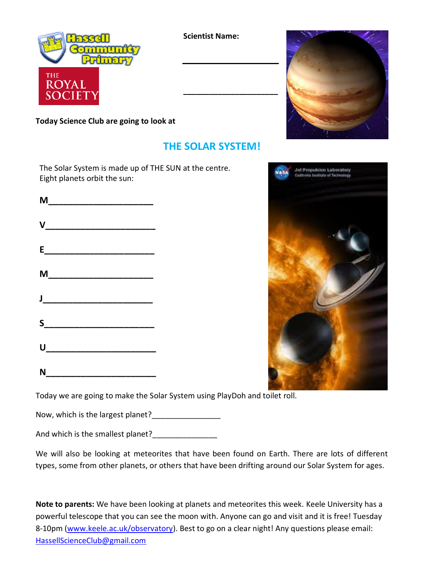

**Scientist Name:**



## **THE SOLAR SYSTEM!**

**\_\_\_\_\_\_\_\_\_\_\_\_\_\_\_\_\_\_\_\_\_\_**

The Solar System is made up of THE SUN at the centre. Eight planets orbit the sun:

| <b>V_________________________</b> |  |
|-----------------------------------|--|
|                                   |  |
| M____________________________     |  |
|                                   |  |
| S                                 |  |
|                                   |  |
|                                   |  |





Today we are going to make the Solar System using PlayDoh and toilet roll.

Now, which is the largest planet?\_\_\_\_\_\_\_\_\_\_\_\_\_\_\_\_

And which is the smallest planet?\_\_\_\_\_\_\_\_\_\_\_\_\_\_\_

We will also be looking at meteorites that have been found on Earth. There are lots of different types, some from other planets, or others that have been drifting around our Solar System for ages.

**Note to parents:** We have been looking at planets and meteorites this week. Keele University has a powerful telescope that you can see the moon with. Anyone can go and visit and it is free! Tuesday 8-10pm [\(www.keele.ac.uk/observatory\)](http://www.keele.ac.uk/observatory). Best to go on a clear night! Any questions please email: [HassellScienceClub@gmail.com](mailto:HassellScienceClub@gmail.com)